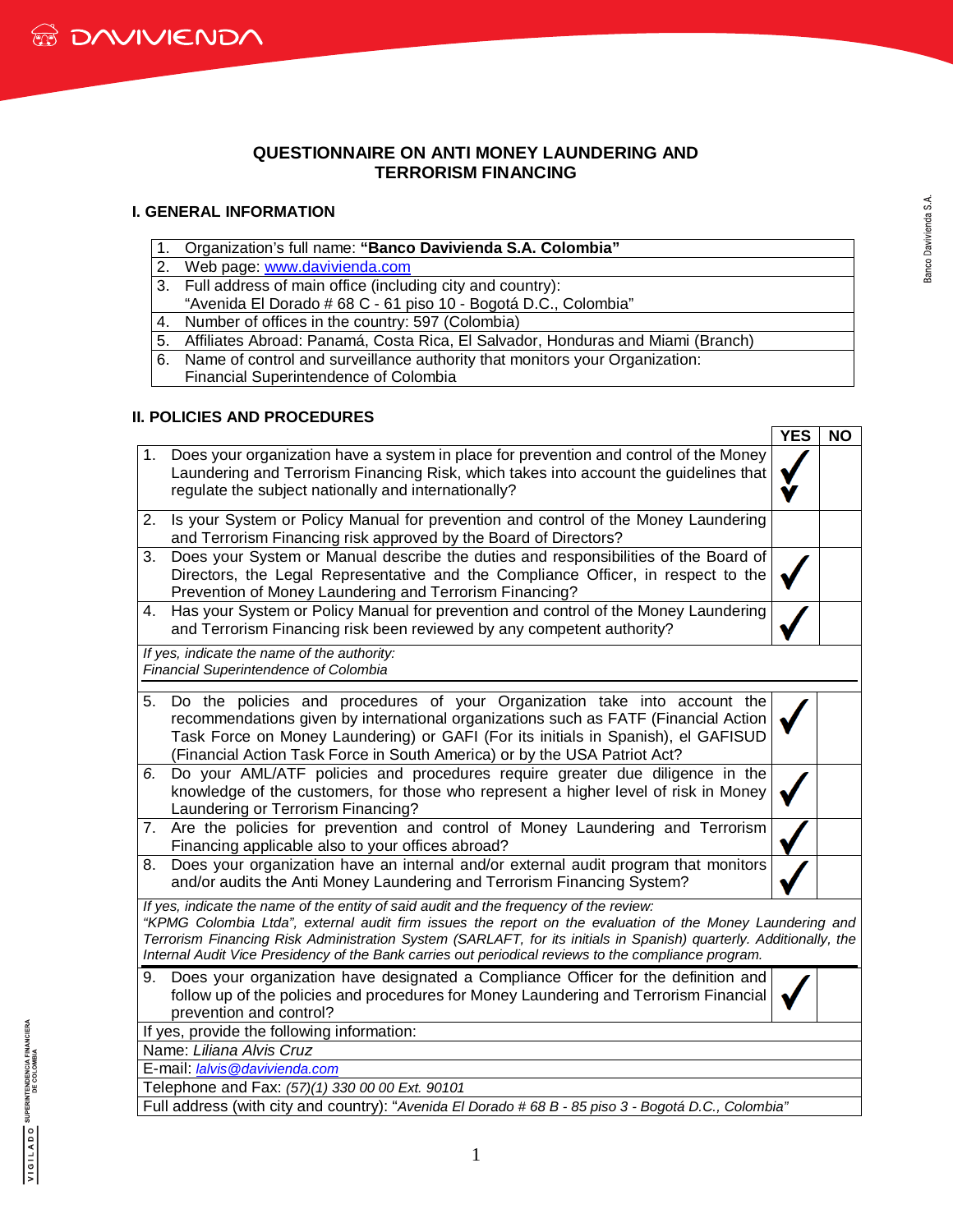

### **QUESTIONNAIRE ON ANTI MONEY LAUNDERING AND TERRORISM FINANCING**

#### **I. GENERAL INFORMATION**

- 1. Organization's full name: **"Banco Davivienda S.A. Colombia"**
- 2. Web page: [www.davivienda.com](http://www.davivienda.com/)
- 3. Full address of main office (including city and country):
- "Avenida El Dorado # 68 C 61 piso 10 Bogotá D.C., Colombia"
- 4. Number of offices in the country: 597 (Colombia)
- 5. Affiliates Abroad: Panamá, Costa Rica, El Salvador, Honduras and Miami (Branch)
- 6. Name of control and surveillance authority that monitors your Organization:
- Financial Superintendence of Colombia

### **II. POLICIES AND PROCEDURES**

|                                                                                                                                                                                                                                                                                                                                                                                                                                   | <b>YES</b> | <b>NO</b> |
|-----------------------------------------------------------------------------------------------------------------------------------------------------------------------------------------------------------------------------------------------------------------------------------------------------------------------------------------------------------------------------------------------------------------------------------|------------|-----------|
| Does your organization have a system in place for prevention and control of the Money<br>1.<br>Laundering and Terrorism Financing Risk, which takes into account the guidelines that<br>regulate the subject nationally and internationally?                                                                                                                                                                                      |            |           |
| Is your System or Policy Manual for prevention and control of the Money Laundering<br>2.<br>and Terrorism Financing risk approved by the Board of Directors?                                                                                                                                                                                                                                                                      |            |           |
| Does your System or Manual describe the duties and responsibilities of the Board of<br>3.<br>Directors, the Legal Representative and the Compliance Officer, in respect to the<br>Prevention of Money Laundering and Terrorism Financing?                                                                                                                                                                                         |            |           |
| Has your System or Policy Manual for prevention and control of the Money Laundering<br>4.<br>and Terrorism Financing risk been reviewed by any competent authority?                                                                                                                                                                                                                                                               |            |           |
| If yes, indicate the name of the authority:<br>Financial Superintendence of Colombia                                                                                                                                                                                                                                                                                                                                              |            |           |
| Do the policies and procedures of your Organization take into account the<br>5.<br>recommendations given by international organizations such as FATF (Financial Action<br>Task Force on Money Laundering) or GAFI (For its initials in Spanish), el GAFISUD<br>(Financial Action Task Force in South America) or by the USA Patriot Act?                                                                                          |            |           |
| Do your AML/ATF policies and procedures require greater due diligence in the<br>6.<br>knowledge of the customers, for those who represent a higher level of risk in Money<br>Laundering or Terrorism Financing?                                                                                                                                                                                                                   |            |           |
| Are the policies for prevention and control of Money Laundering and Terrorism<br>7.<br>Financing applicable also to your offices abroad?                                                                                                                                                                                                                                                                                          |            |           |
| Does your organization have an internal and/or external audit program that monitors<br>8.<br>and/or audits the Anti Money Laundering and Terrorism Financing System?                                                                                                                                                                                                                                                              |            |           |
| If yes, indicate the name of the entity of said audit and the frequency of the review:<br>"KPMG Colombia Ltda", external audit firm issues the report on the evaluation of the Money Laundering and<br>Terrorism Financing Risk Administration System (SARLAFT, for its initials in Spanish) quarterly. Additionally, the<br>Internal Audit Vice Presidency of the Bank carries out periodical reviews to the compliance program. |            |           |
| Does your organization have designated a Compliance Officer for the definition and<br>9.<br>follow up of the policies and procedures for Money Laundering and Terrorism Financial<br>prevention and control?                                                                                                                                                                                                                      |            |           |
| If yes, provide the following information:                                                                                                                                                                                                                                                                                                                                                                                        |            |           |
| Name: Liliana Alvis Cruz                                                                                                                                                                                                                                                                                                                                                                                                          |            |           |
| E-mail: lalvis@davivienda.com                                                                                                                                                                                                                                                                                                                                                                                                     |            |           |
| Telephone and Fax: (57)(1) 330 00 00 Ext. 90101                                                                                                                                                                                                                                                                                                                                                                                   |            |           |
| Full address (with city and country): "Avenida El Dorado # 68 B - 85 piso 3 - Bogotá D.C., Colombia"                                                                                                                                                                                                                                                                                                                              |            |           |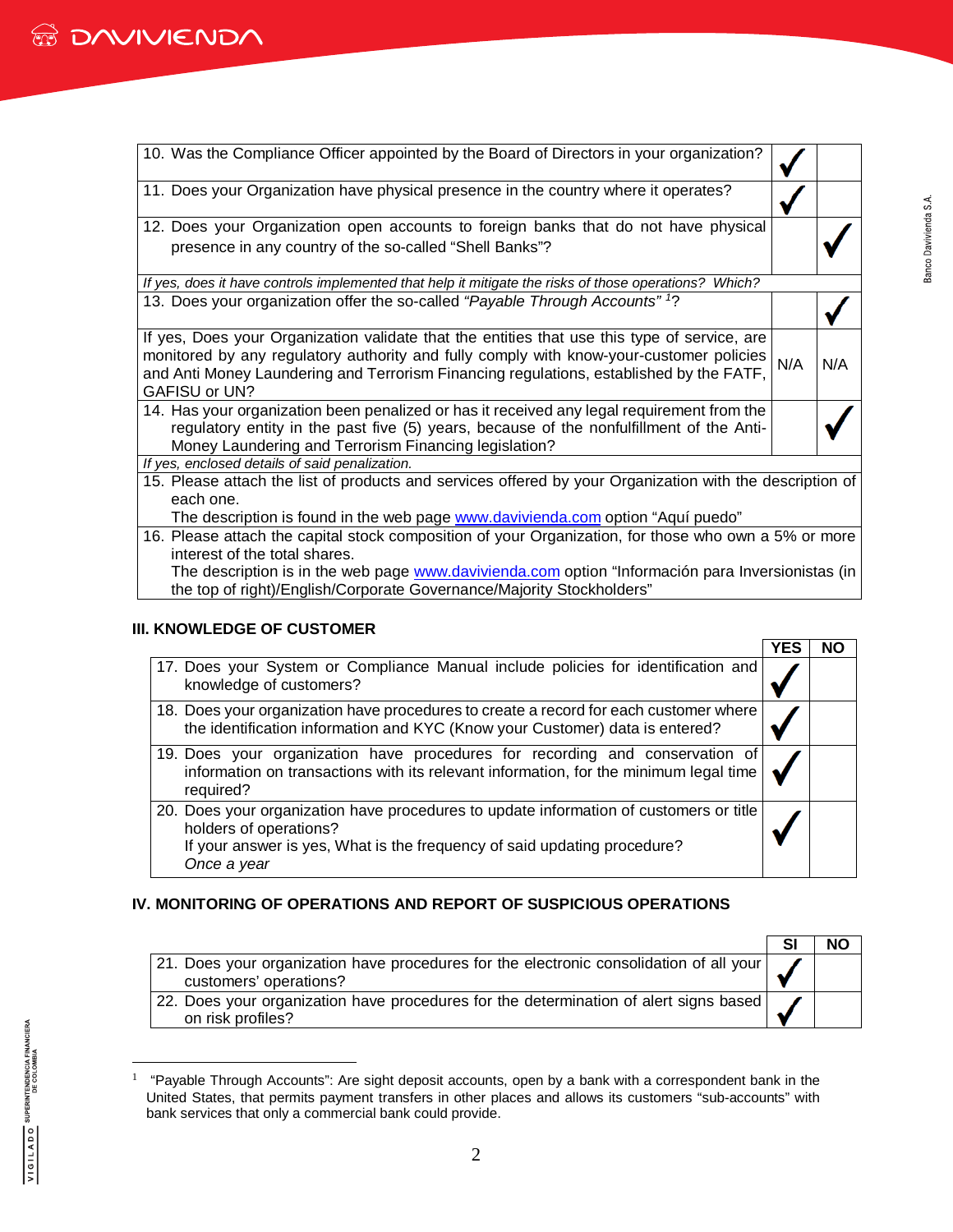| 10. Was the Compliance Officer appointed by the Board of Directors in your organization?                                                                                                                                                                                                                   |     |     |
|------------------------------------------------------------------------------------------------------------------------------------------------------------------------------------------------------------------------------------------------------------------------------------------------------------|-----|-----|
| 11. Does your Organization have physical presence in the country where it operates?                                                                                                                                                                                                                        |     |     |
| 12. Does your Organization open accounts to foreign banks that do not have physical                                                                                                                                                                                                                        |     |     |
| presence in any country of the so-called "Shell Banks"?                                                                                                                                                                                                                                                    |     |     |
| If yes, does it have controls implemented that help it mitigate the risks of those operations? Which?                                                                                                                                                                                                      |     |     |
| 13. Does your organization offer the so-called "Payable Through Accounts" <sup>1</sup> ?                                                                                                                                                                                                                   |     |     |
| If yes, Does your Organization validate that the entities that use this type of service, are<br>monitored by any regulatory authority and fully comply with know-your-customer policies<br>and Anti Money Laundering and Terrorism Financing regulations, established by the FATF,<br><b>GAFISU or UN?</b> | N/A | N/A |
| 14. Has your organization been penalized or has it received any legal requirement from the<br>regulatory entity in the past five (5) years, because of the nonfulfillment of the Anti-<br>Money Laundering and Terrorism Financing legislation?                                                            |     |     |
| If yes, enclosed details of said penalization.                                                                                                                                                                                                                                                             |     |     |
| 15. Please attach the list of products and services offered by your Organization with the description of<br>each one.                                                                                                                                                                                      |     |     |
| The description is found in the web page <b>www.davivienda.com</b> option "Aquí puedo"                                                                                                                                                                                                                     |     |     |
| 16. Please attach the capital stock composition of your Organization, for those who own a 5% or more                                                                                                                                                                                                       |     |     |
| interest of the total shares.                                                                                                                                                                                                                                                                              |     |     |
| The description is in the web page www.davivienda.com option "Información para Inversionistas (in                                                                                                                                                                                                          |     |     |
| the top of right)/English/Corporate Governance/Majority Stockholders"                                                                                                                                                                                                                                      |     |     |

### **III. KNOWLEDGE OF CUSTOMER**

|                                                                                                                                                                                                             | YES | NΟ |
|-------------------------------------------------------------------------------------------------------------------------------------------------------------------------------------------------------------|-----|----|
| 17. Does your System or Compliance Manual include policies for identification and<br>knowledge of customers?                                                                                                |     |    |
| 18. Does your organization have procedures to create a record for each customer where<br>the identification information and KYC (Know your Customer) data is entered?                                       |     |    |
| 19. Does your organization have procedures for recording and conservation of<br>information on transactions with its relevant information, for the minimum legal time<br>required?                          |     |    |
| 20. Does your organization have procedures to update information of customers or title<br>holders of operations?<br>If your answer is yes, What is the frequency of said updating procedure?<br>Once a year |     |    |

# **IV. MONITORING OF OPERATIONS AND REPORT OF SUSPICIOUS OPERATIONS**

|                                                                                                                   | <b>NC</b> |
|-------------------------------------------------------------------------------------------------------------------|-----------|
| 21. Does your organization have procedures for the electronic consolidation of all your<br>customers' operations? |           |
| 22. Does your organization have procedures for the determination of alert signs based<br>on risk profiles?        |           |

<span id="page-1-0"></span><sup>1</sup> "Payable Through Accounts": Are sight deposit accounts, open by a bank with a correspondent bank in the United States, that permits payment transfers in other places and allows its customers "sub-accounts" with bank services that only a commercial bank could provide.